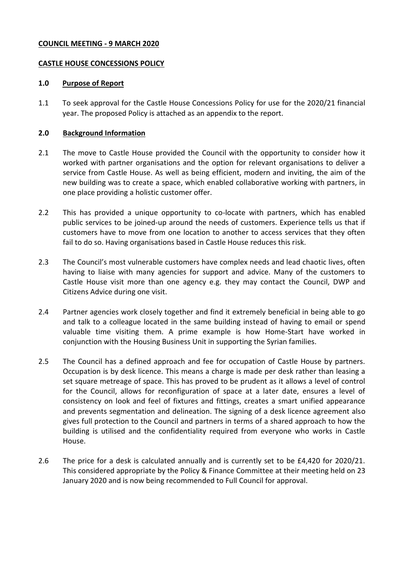#### **COUNCIL MEETING - 9 MARCH 2020**

### **CASTLE HOUSE CONCESSIONS POLICY**

#### **1.0 Purpose of Report**

1.1 To seek approval for the Castle House Concessions Policy for use for the 2020/21 financial year. The proposed Policy is attached as an appendix to the report.

#### **2.0 Background Information**

- 2.1 The move to Castle House provided the Council with the opportunity to consider how it worked with partner organisations and the option for relevant organisations to deliver a service from Castle House. As well as being efficient, modern and inviting, the aim of the new building was to create a space, which enabled collaborative working with partners, in one place providing a holistic customer offer.
- 2.2 This has provided a unique opportunity to co-locate with partners, which has enabled public services to be joined-up around the needs of customers. Experience tells us that if customers have to move from one location to another to access services that they often fail to do so. Having organisations based in Castle House reduces this risk.
- 2.3 The Council's most vulnerable customers have complex needs and lead chaotic lives, often having to liaise with many agencies for support and advice. Many of the customers to Castle House visit more than one agency e.g. they may contact the Council, DWP and Citizens Advice during one visit.
- 2.4 Partner agencies work closely together and find it extremely beneficial in being able to go and talk to a colleague located in the same building instead of having to email or spend valuable time visiting them. A prime example is how Home-Start have worked in conjunction with the Housing Business Unit in supporting the Syrian families.
- 2.5 The Council has a defined approach and fee for occupation of Castle House by partners. Occupation is by desk licence. This means a charge is made per desk rather than leasing a set square metreage of space. This has proved to be prudent as it allows a level of control for the Council, allows for reconfiguration of space at a later date, ensures a level of consistency on look and feel of fixtures and fittings, creates a smart unified appearance and prevents segmentation and delineation. The signing of a desk licence agreement also gives full protection to the Council and partners in terms of a shared approach to how the building is utilised and the confidentiality required from everyone who works in Castle House.
- 2.6 The price for a desk is calculated annually and is currently set to be £4,420 for 2020/21. This considered appropriate by the Policy & Finance Committee at their meeting held on 23 January 2020 and is now being recommended to Full Council for approval.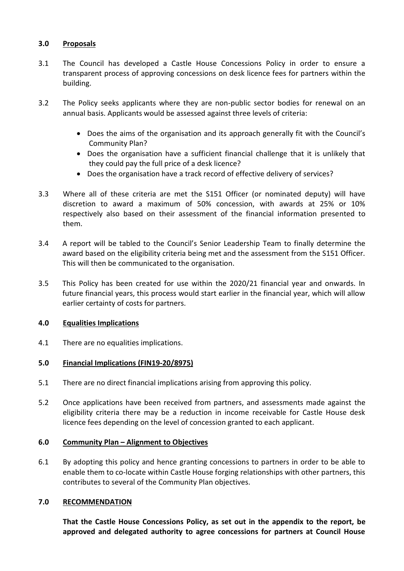## **3.0 Proposals**

- 3.1 The Council has developed a Castle House Concessions Policy in order to ensure a transparent process of approving concessions on desk licence fees for partners within the building.
- 3.2 The Policy seeks applicants where they are non-public sector bodies for renewal on an annual basis. Applicants would be assessed against three levels of criteria:
	- Does the aims of the organisation and its approach generally fit with the Council's Community Plan?
	- Does the organisation have a sufficient financial challenge that it is unlikely that they could pay the full price of a desk licence?
	- Does the organisation have a track record of effective delivery of services?
- 3.3 Where all of these criteria are met the S151 Officer (or nominated deputy) will have discretion to award a maximum of 50% concession, with awards at 25% or 10% respectively also based on their assessment of the financial information presented to them.
- 3.4 A report will be tabled to the Council's Senior Leadership Team to finally determine the award based on the eligibility criteria being met and the assessment from the S151 Officer. This will then be communicated to the organisation.
- 3.5 This Policy has been created for use within the 2020/21 financial year and onwards. In future financial years, this process would start earlier in the financial year, which will allow earlier certainty of costs for partners.

### **4.0 Equalities Implications**

4.1 There are no equalities implications.

## **5.0 Financial Implications (FIN19-20/8975)**

- 5.1 There are no direct financial implications arising from approving this policy.
- 5.2 Once applications have been received from partners, and assessments made against the eligibility criteria there may be a reduction in income receivable for Castle House desk licence fees depending on the level of concession granted to each applicant.

### **6.0 Community Plan – Alignment to Objectives**

6.1 By adopting this policy and hence granting concessions to partners in order to be able to enable them to co-locate within Castle House forging relationships with other partners, this contributes to several of the Community Plan objectives.

## **7.0 RECOMMENDATION**

**That the Castle House Concessions Policy, as set out in the appendix to the report, be approved and delegated authority to agree concessions for partners at Council House**